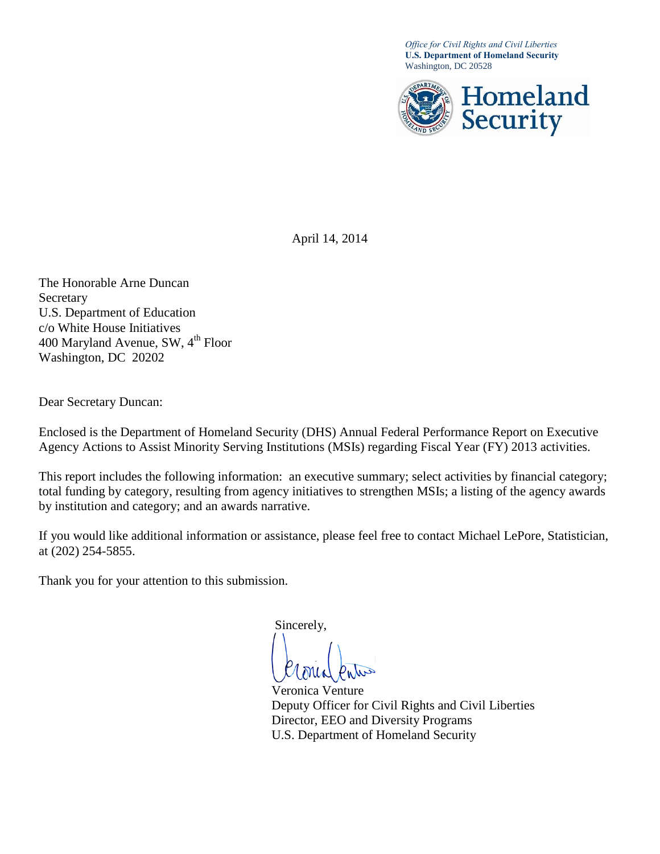*Office for Civil Rights and Civil Liberties* **U.S. Department of Homeland Security** Washington, DC 20528



April 14, 2014

The Honorable Arne Duncan Secretary U.S. Department of Education c/o White House Initiatives 400 Maryland Avenue, SW,  $4<sup>th</sup>$  Floor Washington, DC 20202

Dear Secretary Duncan:

Enclosed is the Department of Homeland Security (DHS) Annual Federal Performance Report on Executive Agency Actions to Assist Minority Serving Institutions (MSIs) regarding Fiscal Year (FY) 2013 activities.

This report includes the following information: an executive summary; select activities by financial category; total funding by category, resulting from agency initiatives to strengthen MSIs; a listing of the agency awards by institution and category; and an awards narrative.

If you would like additional information or assistance, please feel free to contact Michael LePore, Statistician, at (202) 254-5855.

Thank you for your attention to this submission.

Sincerely,

Veronica Venture Deputy Officer for Civil Rights and Civil Liberties Director, EEO and Diversity Programs U.S. Department of Homeland Security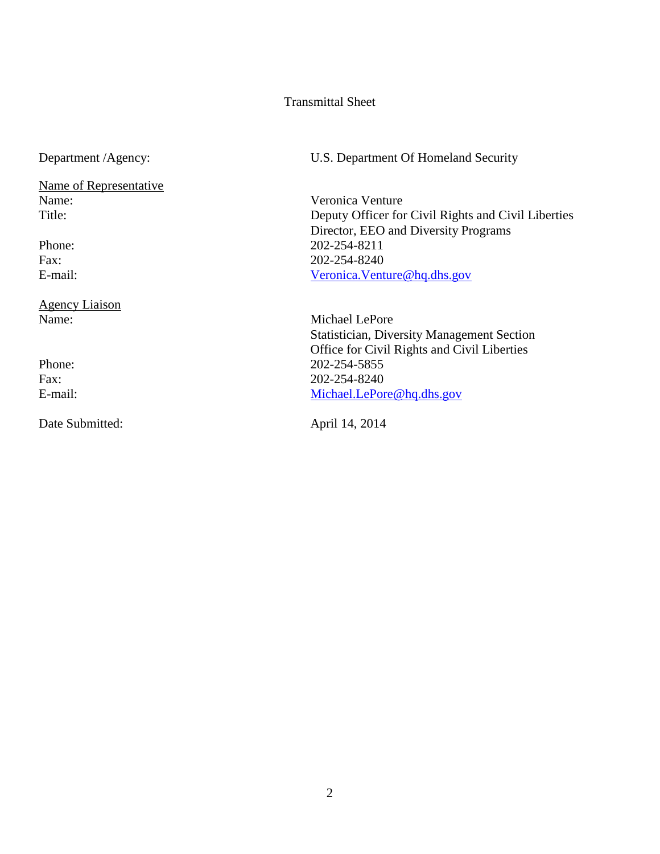#### Transmittal Sheet

Name of Representative<br>Name:

Agency Liaison

Date Submitted: April 14, 2014

Department /Agency: U.S. Department Of Homeland Security

Veronica Venture Title: Deputy Officer for Civil Rights and Civil Liberties Director, EEO and Diversity Programs Phone: 202-254-8211 Fax: 202-254-8240 E-mail: [Veronica.Venture@hq.dhs.gov](mailto:Veronica.Venture@hq.dhs.gov)

Name: Michael LePore Statistician, Diversity Management Section Office for Civil Rights and Civil Liberties Phone: 202-254-5855 Fax: 202-254-8240 E-mail: [Michael.LePore@hq.dhs.gov](mailto:Michael.LePore@hq.dhs.gov)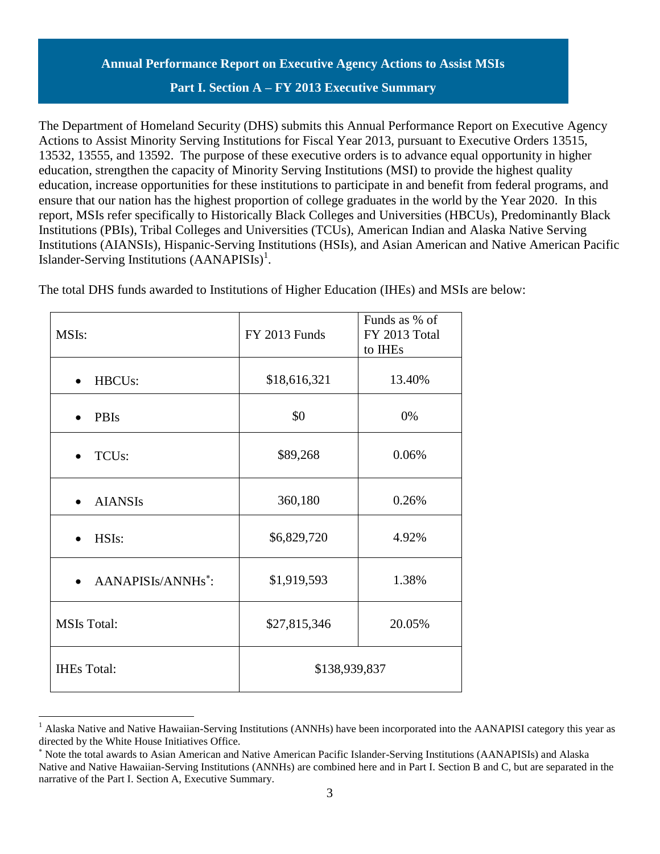# **Annual Performance Report on Executive Agency Actions to Assist MSIs Part I. Section A – FY 2013 Executive Summary**

The Department of Homeland Security (DHS) submits this Annual Performance Report on Executive Agency Actions to Assist Minority Serving Institutions for Fiscal Year 2013, pursuant to Executive Orders 13515, 13532, 13555, and 13592. The purpose of these executive orders is to advance equal opportunity in higher education, strengthen the capacity of Minority Serving Institutions (MSI) to provide the highest quality education, increase opportunities for these institutions to participate in and benefit from federal programs, and ensure that our nation has the highest proportion of college graduates in the world by the Year 2020. In this report, MSIs refer specifically to Historically Black Colleges and Universities (HBCUs), Predominantly Black Institutions (PBIs), Tribal Colleges and Universities (TCUs), American Indian and Alaska Native Serving Institutions (AIANSIs), Hispanic-Serving Institutions (HSIs), and Asian American and Native American Pacific Islander-Serving Institutions  $(AANAPISIs)^{1}$ .

| MSIs:                          | <b>FY 2013 Funds</b> | Funds as % of<br>FY 2013 Total<br>to IHEs |  |  |  |  |
|--------------------------------|----------------------|-------------------------------------------|--|--|--|--|
| HBCU <sub>s</sub> :            | \$18,616,321         | 13.40%                                    |  |  |  |  |
| PBIs                           | \$0                  | 0%                                        |  |  |  |  |
| TCU <sub>s</sub> :             | \$89,268             | 0.06%                                     |  |  |  |  |
| <b>AIANSIs</b>                 | 360,180              | 0.26%                                     |  |  |  |  |
| HSIs:                          | \$6,829,720          | 4.92%                                     |  |  |  |  |
| AANAPISIs/ANNHs <sup>*</sup> : | \$1,919,593          | 1.38%                                     |  |  |  |  |
| <b>MSIs Total:</b>             | \$27,815,346         | 20.05%                                    |  |  |  |  |
| <b>IHEs Total:</b>             | \$138,939,837        |                                           |  |  |  |  |

 $\overline{a}$ 

The total DHS funds awarded to Institutions of Higher Education (IHEs) and MSIs are below:

<sup>&</sup>lt;sup>1</sup> Alaska Native and Native Hawaiian-Serving Institutions (ANNHs) have been incorporated into the AANAPISI category this year as directed by the White House Initiatives Office.

Note the total awards to Asian American and Native American Pacific Islander-Serving Institutions (AANAPISIs) and Alaska Native and Native Hawaiian-Serving Institutions (ANNHs) are combined here and in Part I. Section B and C, but are separated in the narrative of the Part I. Section A, Executive Summary.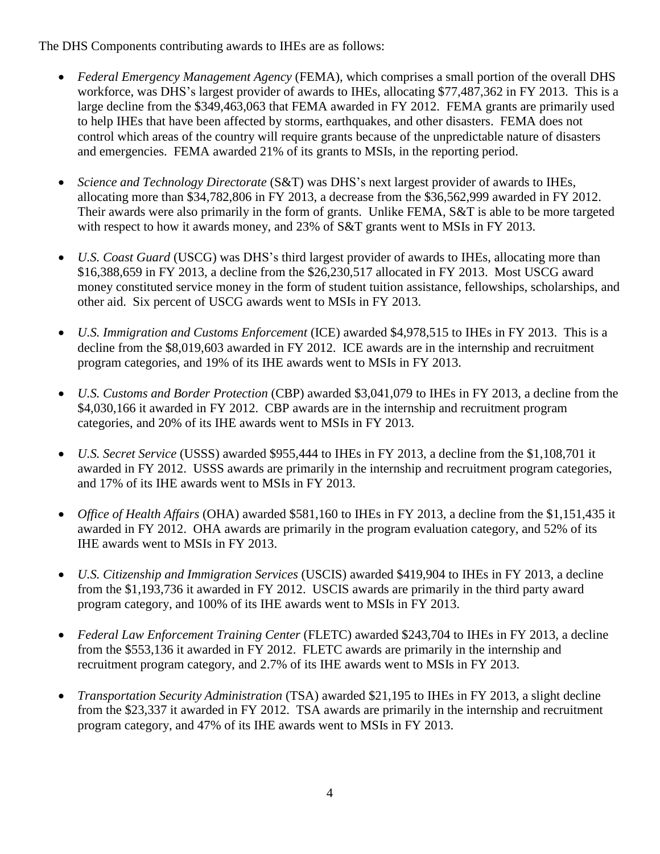The DHS Components contributing awards to IHEs are as follows:

- *Federal Emergency Management Agency* (FEMA), which comprises a small portion of the overall DHS workforce, was DHS's largest provider of awards to IHEs, allocating \$77,487,362 in FY 2013. This is a large decline from the \$349,463,063 that FEMA awarded in FY 2012. FEMA grants are primarily used to help IHEs that have been affected by storms, earthquakes, and other disasters. FEMA does not control which areas of the country will require grants because of the unpredictable nature of disasters and emergencies. FEMA awarded 21% of its grants to MSIs, in the reporting period.
- *Science and Technology Directorate* (S&T) was DHS's next largest provider of awards to IHEs, allocating more than \$34,782,806 in FY 2013, a decrease from the \$36,562,999 awarded in FY 2012. Their awards were also primarily in the form of grants. Unlike FEMA, S&T is able to be more targeted with respect to how it awards money, and 23% of S&T grants went to MSIs in FY 2013.
- *U.S. Coast Guard* (USCG) was DHS's third largest provider of awards to IHEs, allocating more than \$16,388,659 in FY 2013, a decline from the \$26,230,517 allocated in FY 2013. Most USCG award money constituted service money in the form of student tuition assistance, fellowships, scholarships, and other aid. Six percent of USCG awards went to MSIs in FY 2013.
- *U.S. Immigration and Customs Enforcement* (ICE) awarded \$4,978,515 to IHEs in FY 2013. This is a decline from the \$8,019,603 awarded in FY 2012. ICE awards are in the internship and recruitment program categories, and 19% of its IHE awards went to MSIs in FY 2013.
- *U.S. Customs and Border Protection* (CBP) awarded \$3,041,079 to IHEs in FY 2013, a decline from the \$4,030,166 it awarded in FY 2012. CBP awards are in the internship and recruitment program categories, and 20% of its IHE awards went to MSIs in FY 2013.
- *U.S. Secret Service* (USSS) awarded \$955,444 to IHEs in FY 2013, a decline from the \$1,108,701 it awarded in FY 2012. USSS awards are primarily in the internship and recruitment program categories, and 17% of its IHE awards went to MSIs in FY 2013.
- *Office of Health Affairs* (OHA) awarded \$581,160 to IHEs in FY 2013, a decline from the \$1,151,435 it awarded in FY 2012. OHA awards are primarily in the program evaluation category, and 52% of its IHE awards went to MSIs in FY 2013.
- *U.S. Citizenship and Immigration Services* (USCIS) awarded \$419,904 to IHEs in FY 2013, a decline from the \$1,193,736 it awarded in FY 2012. USCIS awards are primarily in the third party award program category, and 100% of its IHE awards went to MSIs in FY 2013.
- *Federal Law Enforcement Training Center* (FLETC) awarded \$243,704 to IHEs in FY 2013, a decline from the \$553,136 it awarded in FY 2012. FLETC awards are primarily in the internship and recruitment program category, and 2.7% of its IHE awards went to MSIs in FY 2013.
- *Transportation Security Administration* (TSA) awarded \$21,195 to IHEs in FY 2013, a slight decline from the \$23,337 it awarded in FY 2012. TSA awards are primarily in the internship and recruitment program category, and 47% of its IHE awards went to MSIs in FY 2013.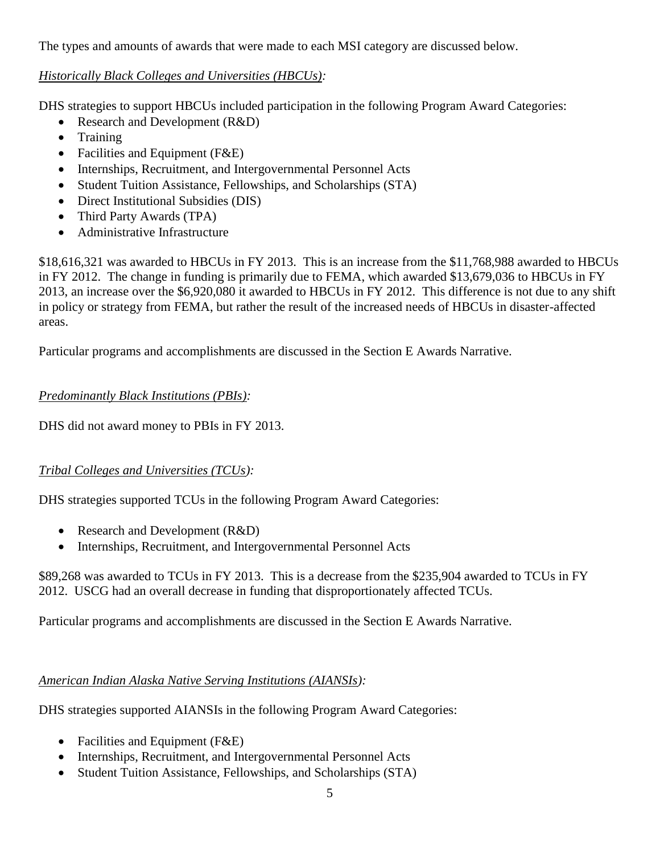The types and amounts of awards that were made to each MSI category are discussed below.

### *Historically Black Colleges and Universities (HBCUs):*

DHS strategies to support HBCUs included participation in the following Program Award Categories:

- Research and Development (R&D)
- Training
- Facilities and Equipment (F&E)
- Internships, Recruitment, and Intergovernmental Personnel Acts
- Student Tuition Assistance, Fellowships, and Scholarships (STA)
- Direct Institutional Subsidies (DIS)
- Third Party Awards (TPA)
- Administrative Infrastructure

\$18,616,321 was awarded to HBCUs in FY 2013. This is an increase from the \$11,768,988 awarded to HBCUs in FY 2012. The change in funding is primarily due to FEMA, which awarded \$13,679,036 to HBCUs in FY 2013, an increase over the \$6,920,080 it awarded to HBCUs in FY 2012. This difference is not due to any shift in policy or strategy from FEMA, but rather the result of the increased needs of HBCUs in disaster-affected areas.

Particular programs and accomplishments are discussed in the Section E Awards Narrative.

# *Predominantly Black Institutions (PBIs):*

DHS did not award money to PBIs in FY 2013.

# *Tribal Colleges and Universities (TCUs):*

DHS strategies supported TCUs in the following Program Award Categories:

- Research and Development (R&D)
- Internships, Recruitment, and Intergovernmental Personnel Acts

\$89,268 was awarded to TCUs in FY 2013. This is a decrease from the \$235,904 awarded to TCUs in FY 2012. USCG had an overall decrease in funding that disproportionately affected TCUs.

Particular programs and accomplishments are discussed in the Section E Awards Narrative.

# *American Indian Alaska Native Serving Institutions (AIANSIs):*

DHS strategies supported AIANSIs in the following Program Award Categories:

- Facilities and Equipment (F&E)
- Internships, Recruitment, and Intergovernmental Personnel Acts
- Student Tuition Assistance, Fellowships, and Scholarships (STA)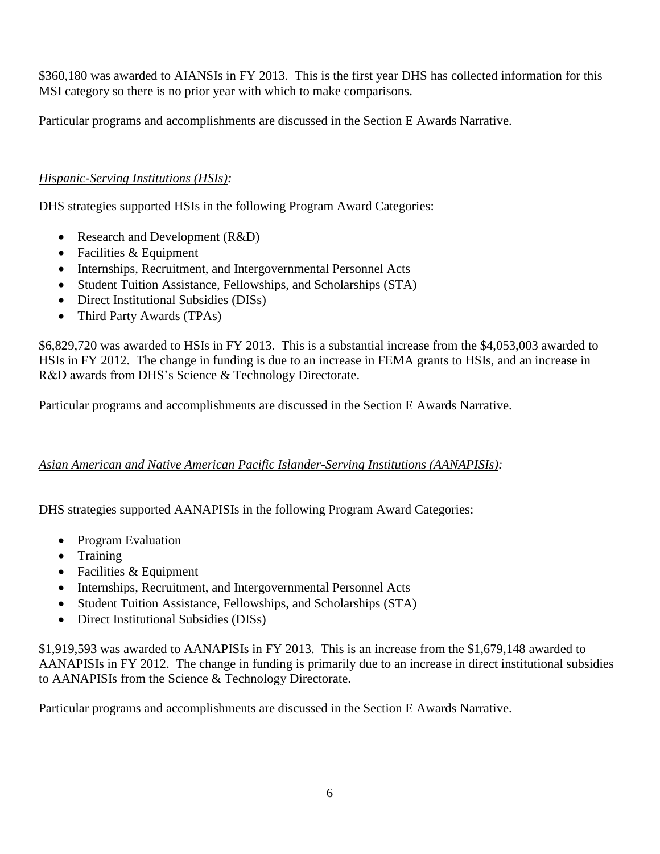\$360,180 was awarded to AIANSIs in FY 2013. This is the first year DHS has collected information for this MSI category so there is no prior year with which to make comparisons.

Particular programs and accomplishments are discussed in the Section E Awards Narrative.

# *Hispanic-Serving Institutions (HSIs):*

DHS strategies supported HSIs in the following Program Award Categories:

- Research and Development (R&D)
- Facilities & Equipment
- Internships, Recruitment, and Intergovernmental Personnel Acts
- Student Tuition Assistance, Fellowships, and Scholarships (STA)
- Direct Institutional Subsidies (DISs)
- Third Party Awards (TPAs)

\$6,829,720 was awarded to HSIs in FY 2013. This is a substantial increase from the \$4,053,003 awarded to HSIs in FY 2012. The change in funding is due to an increase in FEMA grants to HSIs, and an increase in R&D awards from DHS's Science & Technology Directorate.

Particular programs and accomplishments are discussed in the Section E Awards Narrative.

#### *Asian American and Native American Pacific Islander-Serving Institutions (AANAPISIs):*

DHS strategies supported AANAPISIs in the following Program Award Categories:

- Program Evaluation
- Training
- Facilities & Equipment
- Internships, Recruitment, and Intergovernmental Personnel Acts
- Student Tuition Assistance, Fellowships, and Scholarships (STA)
- Direct Institutional Subsidies (DISs)

\$1,919,593 was awarded to AANAPISIs in FY 2013. This is an increase from the \$1,679,148 awarded to AANAPISIs in FY 2012. The change in funding is primarily due to an increase in direct institutional subsidies to AANAPISIs from the Science & Technology Directorate.

Particular programs and accomplishments are discussed in the Section E Awards Narrative.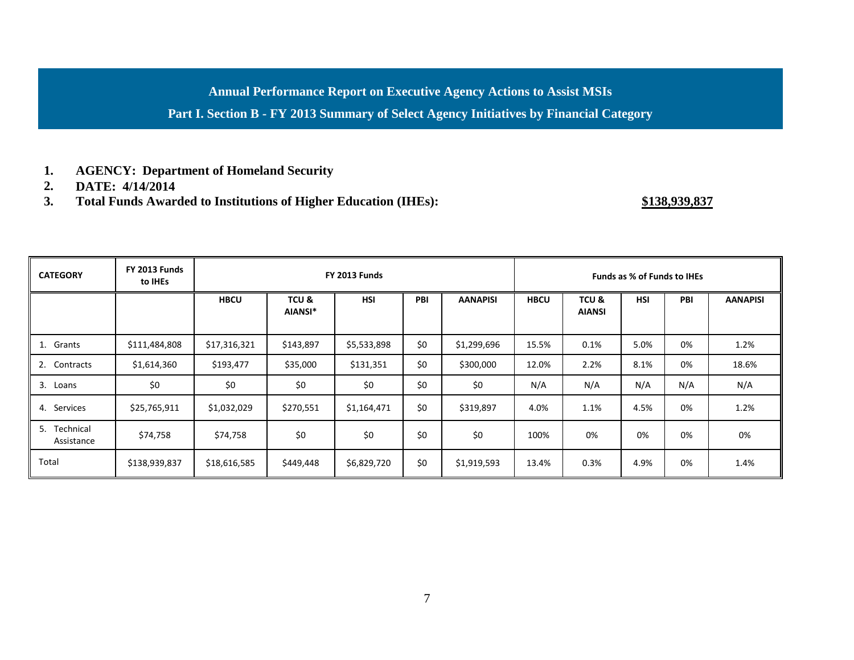**Annual Performance Report on Executive Agency Actions to Assist MSIs**

**Part I. Section B - FY 2013 Summary of Select Agency Initiatives by Financial Category**

- **1. AGENCY: Department of Homeland Security**
- **2. DATE: 4/14/2014**
- **3. Total Funds Awarded to Institutions of Higher Education (IHEs): \$138,939,837**

| <b>CATEGORY</b>            | <b>FY 2013 Funds</b><br>to IHEs | FY 2013 Funds |                  |             |     |                 | <b>Funds as % of Funds to IHEs</b> |                       |            |     |                 |
|----------------------------|---------------------------------|---------------|------------------|-------------|-----|-----------------|------------------------------------|-----------------------|------------|-----|-----------------|
|                            |                                 | <b>HBCU</b>   | TCU &<br>AIANSI* | <b>HSI</b>  | PBI | <b>AANAPISI</b> | <b>HBCU</b>                        | TCU&<br><b>AIANSI</b> | <b>HSI</b> | PBI | <b>AANAPISI</b> |
| 1. Grants                  | \$111,484,808                   | \$17,316,321  | \$143,897        | \$5,533,898 | \$0 | \$1,299,696     | 15.5%                              | 0.1%                  | 5.0%       | 0%  | 1.2%            |
| 2. Contracts               | \$1,614,360                     | \$193,477     | \$35,000         | \$131,351   | \$0 | \$300,000       | 12.0%                              | 2.2%                  | 8.1%       | 0%  | 18.6%           |
| 3.<br>Loans                | \$0                             | \$0           | \$0              | \$0         | \$0 | \$0             | N/A                                | N/A                   | N/A        | N/A | N/A             |
| 4. Services                | \$25,765,911                    | \$1,032,029   | \$270,551        | \$1,164,471 | \$0 | \$319,897       | 4.0%                               | 1.1%                  | 4.5%       | 0%  | 1.2%            |
| 5. Technical<br>Assistance | \$74,758                        | \$74,758      | \$0              | \$0         | \$0 | \$0             | 100%                               | 0%                    | 0%         | 0%  | 0%              |
| Total                      | \$138,939,837                   | \$18,616,585  | \$449,448        | \$6,829,720 | \$0 | \$1,919,593     | 13.4%                              | 0.3%                  | 4.9%       | 0%  | 1.4%            |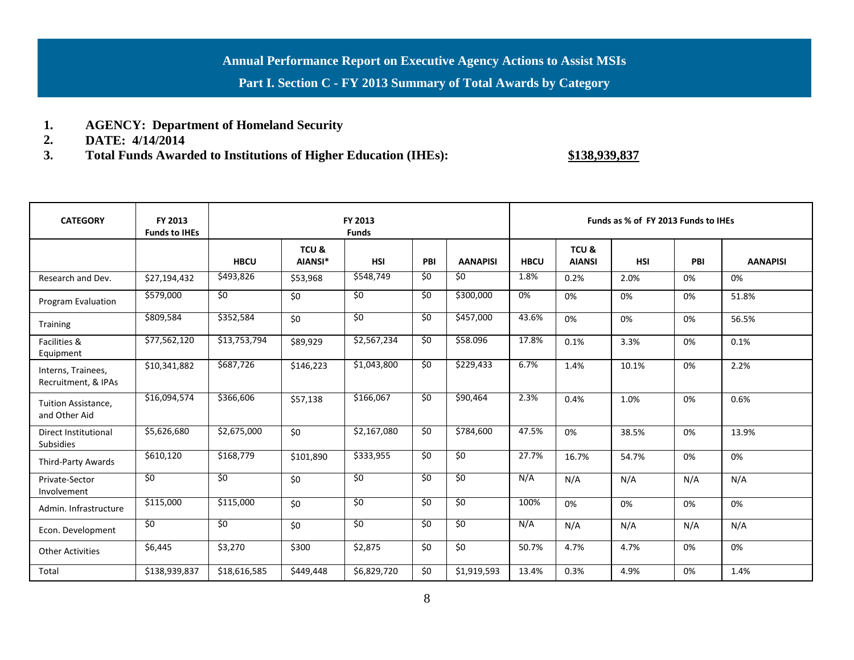### **Annual Performance Report on Executive Agency Actions to Assist MSIs**

**Part I. Section C - FY 2013 Summary of Total Awards by Category**

- **1. AGENCY: Department of Homeland Security**
- **2. DATE: 4/14/2014**
- **3. Total Funds Awarded to Institutions of Higher Education (IHEs): \$138,939,837**

| <b>CATEGORY</b>                           | FY 2013<br><b>Funds to IHEs</b> | FY 2013<br><b>Funds</b> |                  |                 |                 | Funds as % of FY 2013 Funds to IHEs |                  |                        |            |     |                 |
|-------------------------------------------|---------------------------------|-------------------------|------------------|-----------------|-----------------|-------------------------------------|------------------|------------------------|------------|-----|-----------------|
|                                           |                                 | <b>HBCU</b>             | TCU &<br>AIANSI* | <b>HSI</b>      | PBI             | <b>AANAPISI</b>                     | <b>HBCU</b>      | TCU &<br><b>AIANSI</b> | <b>HSI</b> | PBI | <b>AANAPISI</b> |
| Research and Dev.                         | \$27,194,432                    | \$493,826               | \$53,968         | \$548,749       | \$0             | \$0                                 | 1.8%             | 0.2%                   | 2.0%       | 0%  | 0%              |
| Program Evaluation                        | \$579,000                       | $\overline{50}$         | \$0              | $\overline{50}$ | \$0             | \$300,000                           | $\overline{0\%}$ | 0%                     | 0%         | 0%  | 51.8%           |
| Training                                  | \$809,584                       | \$352,584               | \$0              | \$0             | \$0             | \$457,000                           | 43.6%            | 0%                     | 0%         | 0%  | 56.5%           |
| Facilities &<br>Equipment                 | $\overline{$}77,562,120$        | \$13,753,794            | \$89,929         | \$2,567,234     | \$0             | \$58.096                            | 17.8%            | 0.1%                   | 3.3%       | 0%  | 0.1%            |
| Interns, Trainees,<br>Recruitment, & IPAs | \$10,341,882                    | \$687,726               | \$146,223        | \$1,043,800     | $\overline{50}$ | \$229,433                           | 6.7%             | 1.4%                   | 10.1%      | 0%  | 2.2%            |
| Tuition Assistance,<br>and Other Aid      | \$16,094,574                    | \$366,606               | \$57,138         | \$166,067       | \$0             | \$90,464                            | 2.3%             | 0.4%                   | 1.0%       | 0%  | 0.6%            |
| Direct Institutional<br><b>Subsidies</b>  | \$5,626,680                     | \$2,675,000             | \$0              | \$2,167,080     | $\overline{50}$ | \$784,600                           | 47.5%            | 0%                     | 38.5%      | 0%  | 13.9%           |
| Third-Party Awards                        | \$610,120                       | \$168,779               | \$101,890        | \$333,955       | \$0             | \$0                                 | 27.7%            | 16.7%                  | 54.7%      | 0%  | 0%              |
| Private-Sector<br>Involvement             | \$0                             | \$0                     | \$0              | \$0             | \$0             | \$0                                 | N/A              | N/A                    | N/A        | N/A | N/A             |
| Admin. Infrastructure                     | \$115,000                       | \$115,000               | \$0              | $\overline{50}$ | \$0             | $\overline{50}$                     | 100%             | 0%                     | 0%         | 0%  | 0%              |
| Econ. Development                         | \$0                             | \$0                     | \$0              | \$0             | \$0             | \$0                                 | N/A              | N/A                    | N/A        | N/A | N/A             |
| <b>Other Activities</b>                   | \$6,445                         | \$3,270                 | \$300            | \$2,875         | \$0             | \$0                                 | 50.7%            | 4.7%                   | 4.7%       | 0%  | 0%              |
| Total                                     | \$138,939,837                   | \$18,616,585            | \$449,448        | \$6,829,720     | \$0             | \$1,919,593                         | 13.4%            | 0.3%                   | 4.9%       | 0%  | 1.4%            |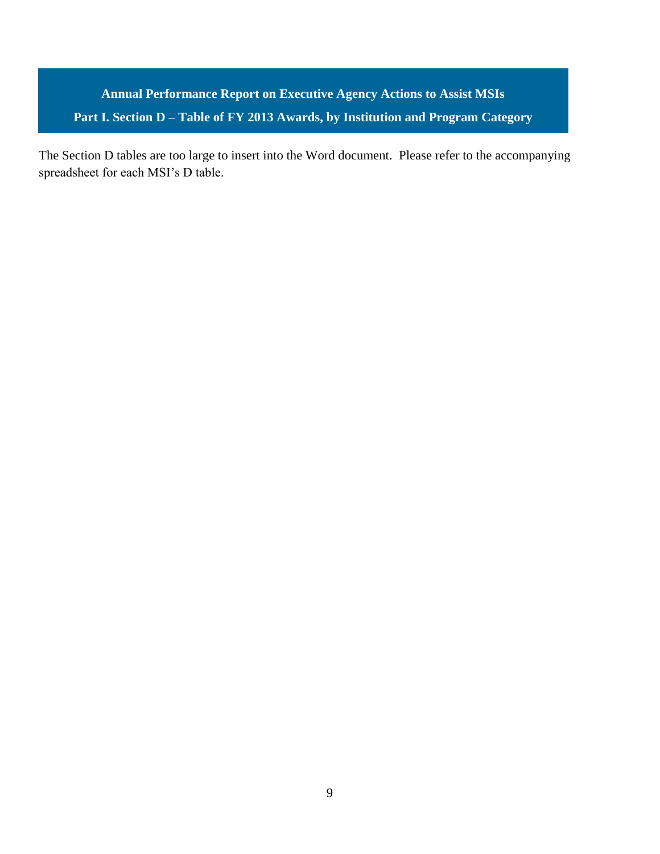**Annual Performance Report on Executive Agency Actions to Assist MSIs Part I. Section D – Table of FY 2013 Awards, by Institution and Program Category**

The Section D tables are too large to insert into the Word document. Please refer to the accompanying spreadsheet for each MSI's D table.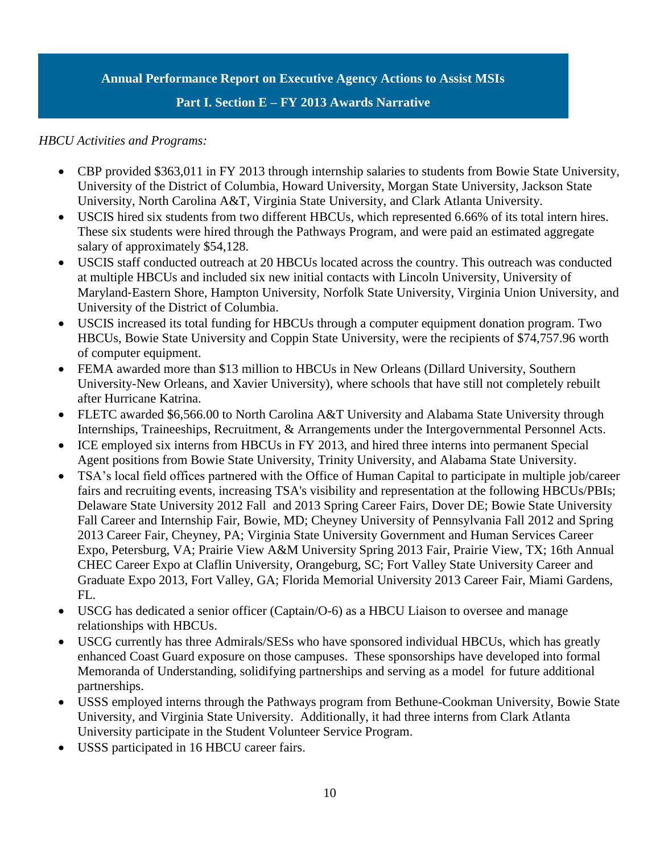#### **Annual Performance Report on Executive Agency Actions to Assist MSIs**

#### **Part I. Section E – FY 2013 Awards Narrative**

#### *HBCU Activities and Programs:*

- CBP provided \$363,011 in FY 2013 through internship salaries to students from Bowie State University, University of the District of Columbia, Howard University, Morgan State University, Jackson State University, North Carolina A&T, Virginia State University, and Clark Atlanta University.
- USCIS hired six students from two different HBCUs, which represented 6.66% of its total intern hires. These six students were hired through the Pathways Program, and were paid an estimated aggregate salary of approximately \$54,128.
- USCIS staff conducted outreach at 20 HBCUs located across the country. This outreach was conducted at multiple HBCUs and included six new initial contacts with Lincoln University, University of Maryland‐Eastern Shore, Hampton University, Norfolk State University, Virginia Union University, and University of the District of Columbia.
- USCIS increased its total funding for HBCUs through a computer equipment donation program. Two HBCUs, Bowie State University and Coppin State University, were the recipients of \$74,757.96 worth of computer equipment.
- FEMA awarded more than \$13 million to HBCUs in New Orleans (Dillard University, Southern University-New Orleans, and Xavier University), where schools that have still not completely rebuilt after Hurricane Katrina.
- FLETC awarded \$6,566.00 to North Carolina A&T University and Alabama State University through Internships, Traineeships, Recruitment, & Arrangements under the Intergovernmental Personnel Acts.
- ICE employed six interns from HBCUs in FY 2013, and hired three interns into permanent Special Agent positions from Bowie State University, Trinity University, and Alabama State University.
- TSA's local field offices partnered with the Office of Human Capital to participate in multiple job/career fairs and recruiting events, increasing TSA's visibility and representation at the following HBCUs/PBIs; Delaware State University 2012 Fall and 2013 Spring Career Fairs, Dover DE; Bowie State University Fall Career and Internship Fair, Bowie, MD; Cheyney University of Pennsylvania Fall 2012 and Spring 2013 Career Fair, Cheyney, PA; Virginia State University Government and Human Services Career Expo, Petersburg, VA; Prairie View A&M University Spring 2013 Fair, Prairie View, TX; 16th Annual CHEC Career Expo at Claflin University, Orangeburg, SC; Fort Valley State University Career and Graduate Expo 2013, Fort Valley, GA; Florida Memorial University 2013 Career Fair, Miami Gardens, FL.
- USCG has dedicated a senior officer (Captain/O-6) as a HBCU Liaison to oversee and manage relationships with HBCUs.
- USCG currently has three Admirals/SESs who have sponsored individual HBCUs, which has greatly enhanced Coast Guard exposure on those campuses. These sponsorships have developed into formal Memoranda of Understanding, solidifying partnerships and serving as a model for future additional partnerships.
- USSS employed interns through the Pathways program from Bethune-Cookman University, Bowie State University, and Virginia State University. Additionally, it had three interns from Clark Atlanta University participate in the Student Volunteer Service Program.
- USSS participated in 16 HBCU career fairs.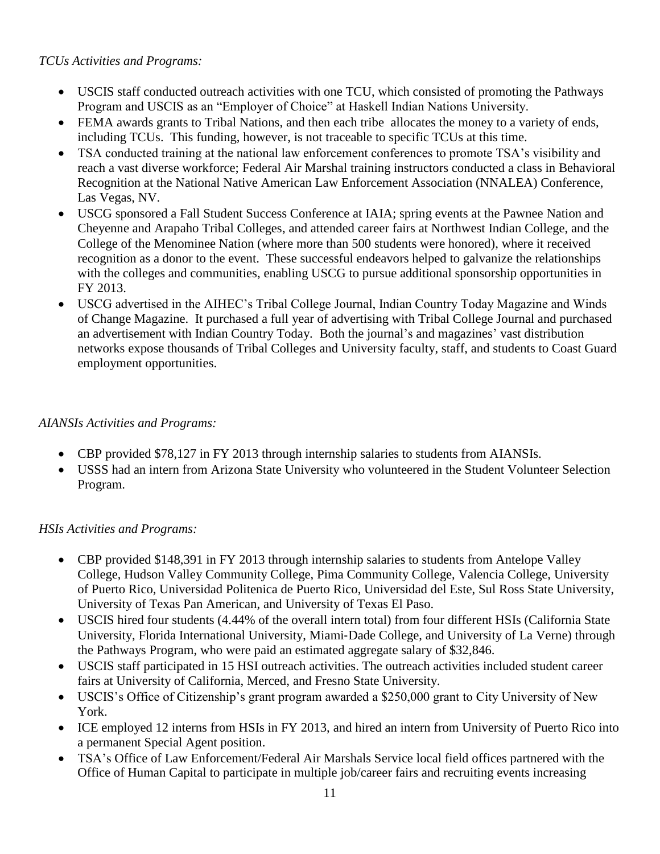### *TCUs Activities and Programs:*

- USCIS staff conducted outreach activities with one TCU, which consisted of promoting the Pathways Program and USCIS as an "Employer of Choice" at Haskell Indian Nations University.
- FEMA awards grants to Tribal Nations, and then each tribe allocates the money to a variety of ends, including TCUs. This funding, however, is not traceable to specific TCUs at this time.
- TSA conducted training at the national law enforcement conferences to promote TSA's visibility and reach a vast diverse workforce; Federal Air Marshal training instructors conducted a class in Behavioral Recognition at the National Native American Law Enforcement Association (NNALEA) Conference, Las Vegas, NV.
- USCG sponsored a Fall Student Success Conference at IAIA; spring events at the Pawnee Nation and Cheyenne and Arapaho Tribal Colleges, and attended career fairs at Northwest Indian College, and the College of the Menominee Nation (where more than 500 students were honored), where it received recognition as a donor to the event. These successful endeavors helped to galvanize the relationships with the colleges and communities, enabling USCG to pursue additional sponsorship opportunities in FY 2013.
- USCG advertised in the AIHEC's Tribal College Journal, Indian Country Today Magazine and Winds of Change Magazine. It purchased a full year of advertising with Tribal College Journal and purchased an advertisement with Indian Country Today. Both the journal's and magazines' vast distribution networks expose thousands of Tribal Colleges and University faculty, staff, and students to Coast Guard employment opportunities.

# *AIANSIs Activities and Programs:*

- CBP provided \$78,127 in FY 2013 through internship salaries to students from AIANSIs.
- USSS had an intern from Arizona State University who volunteered in the Student Volunteer Selection Program.

# *HSIs Activities and Programs:*

- CBP provided \$148,391 in FY 2013 through internship salaries to students from Antelope Valley College, Hudson Valley Community College, Pima Community College, Valencia College, University of Puerto Rico, Universidad Politenica de Puerto Rico, Universidad del Este, Sul Ross State University, University of Texas Pan American, and University of Texas El Paso.
- USCIS hired four students (4.44% of the overall intern total) from four different HSIs (California State University, Florida International University, Miami‐Dade College, and University of La Verne) through the Pathways Program, who were paid an estimated aggregate salary of \$32,846.
- USCIS staff participated in 15 HSI outreach activities. The outreach activities included student career fairs at University of California, Merced, and Fresno State University.
- USCIS's Office of Citizenship's grant program awarded a \$250,000 grant to City University of New York.
- ICE employed 12 interns from HSIs in FY 2013, and hired an intern from University of Puerto Rico into a permanent Special Agent position.
- TSA's Office of Law Enforcement/Federal Air Marshals Service local field offices partnered with the Office of Human Capital to participate in multiple job/career fairs and recruiting events increasing